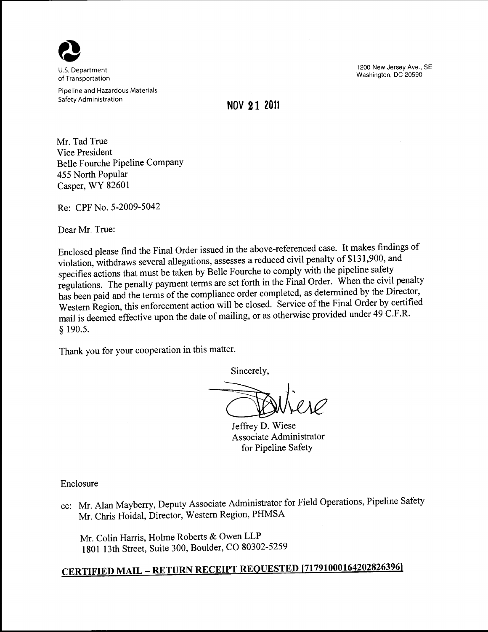

U.S. Department of Transportation

Pipeline and Hazardous Materials Safety Administration

1200 New Jersey Ave., SE Washington, DC 20590

## **NOV 21 2011**

Mr. Tad True Vice President Belle Fourche Pipeline Company 455 North Popular Casper, WY 82601

Re: CPF No. 5-2009-5042

Dear Mr. True:

Enclosed please find the Final Order issued in the above-referenced case. It makes findings of violation, withdraws several allegations, assesses a reduced civil penalty of \$131,900, and specifies actions that must be taken by Belle Fourche to comply with the pipeline safety regulations. The penalty payment terms are set forth in the Final Order. When the civil penalty has been paid and the terms of the compliance order completed, as determined by the Director, Western Region, this enforcement action will be closed. Service of the Final Order by certified mail is deemed effective upon the date of mailing, or as otherwise provided under 49 C.F .R. § 190.5.

Thank you for your cooperation in this matter.

Sincerely,

Jeffrey D. Wiese Associate Administrator for Pipeline Safety

Enclosure

cc: Mr. Alan Mayberry, Deputy Associate Administrator for Field Operations, Pipeline Safety Mr. Chris Hoidal, Director, Western Region, PHMSA

Mr. Colin Harris, Holme Roberts & Owen LLP 1801 13th Street, Suite 300, Boulder, CO 80302-5259

# **CERTIFIED MAIL- RETURN RECEIPT REQUESTED [71791000164202826396]**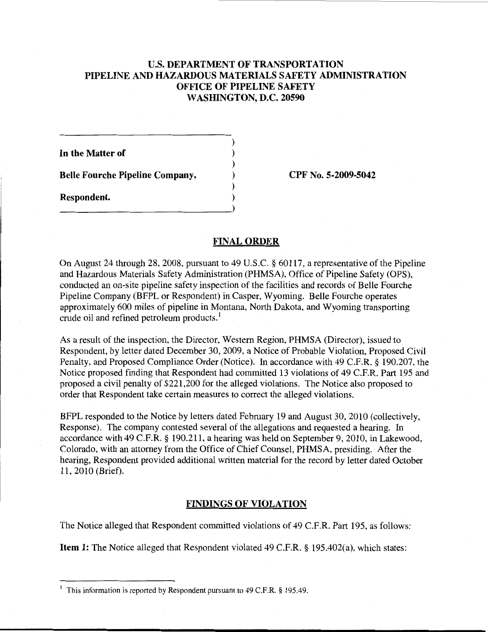## U.S. DEPARTMENT OF TRANSPORTATION PIPELINE AND HAZARDOUS MATERIALS SAFETY ADMINISTRATION OFFICE OF PIPELINE SAFETY WASHINGTON, D.C. 20590

) ) ) ) )

In the Matter of Belle Fourche Pipeline Company,

Respondent. ) \_\_\_\_\_\_\_\_\_\_\_\_\_\_\_\_\_\_\_\_\_\_\_\_\_\_\_ )

CPF No. 5-2009-5042

#### FINAL ORDER

On August 24 through 28,2008, pursuant to 49 U.S.C. § 60117, a representative of the Pipeline and Hazardous Materials Safety Administration (PHMSA), Office of Pipeline Safety (OPS), conducted an on-site pipeline safety inspection of the facilities and records of Belle Fourche Pipeline Company (BFPL or Respondent) in Casper, Wyoming. Belle Fourche operates approximately 600 miles of pipeline in Montana, North Dakota, and Wyoming transporting crude oil and refined petroleum products.<sup>1</sup>

As a result of the inspection, the Director, Western Region, PHMSA (Director), issued to Respondent, by letter dated December 30, 2009, a Notice of Probable Violation, Proposed Civil Penalty, and Proposed Compliance Order (Notice). In accordance with 49 C.F.R. § 190.207, the Notice proposed finding that Respondent had committed 13 violations of 49 C.F.R. Part 195 and proposed a civil penalty of \$221,200 for the alleged violations. The Notice also proposed to order that Respondent take certain measures to correct the alleged violations.

BFPL responded to the Notice by letters dated February 19 and August 30, 2010 (collectively, Response). The company contested several of the allegations and requested a hearing. In accordance with 49 C.F.R. § 190.211, a hearing was held on September 9, 2010, in Lakewood, Colorado, with an attorney from the Office of Chief Counsel, PHMSA, presiding. After the hearing, Respondent provided additional written material for the record by letter dated October 11, 2010 (Brief).

#### FINDINGS OF VIOLATION

The Notice alleged that Respondent committed violations of 49 C.F.R. Part 195, as follows:

Item 1: The Notice alleged that Respondent violated 49 C.F.R. § 195.402(a), which states:

<sup>&</sup>lt;sup>1</sup> This information is reported by Respondent pursuant to 49 C.F.R. § 195.49.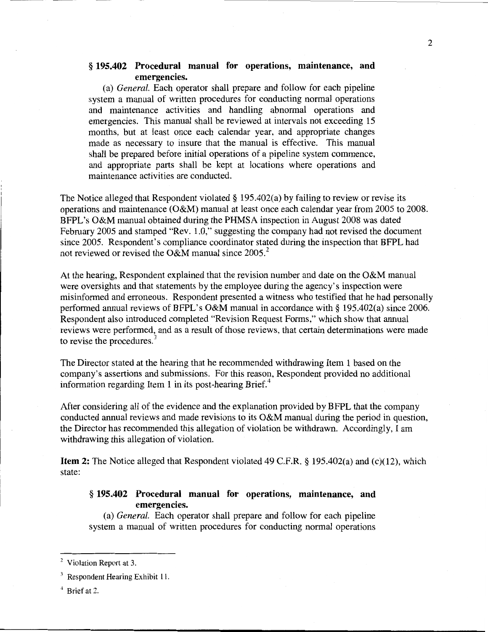## § 195.402 Procedural manual for operations, maintenance, and emergencies.

(a) *General.* Each operator shall prepare and follow for each pipeline system a manual of written procedures for conducting normal operations and maintenance activities and handling abnormal operations and emergencies. This manual shall be reviewed at intervals not exceeding 15 months, but at least once each calendar year, and appropriate changes made as necessary to insure that the manual is effective. This manual shall be prepared before initial operations of a pipeline system commence, and appropriate parts shall be kept at locations where operations and maintenance activities are conducted.

The Notice alleged that Respondent violated § 195.402(a) by failing to review or revise its operations and maintenance (O&M) manual at least once each calendar year from 2005 to 2008. BFPL's O&M manual obtained during the PHMSA inspection in August 2008 was dated February 2005 and stamped "Rev. 1.0," suggesting the company had not revised the document since 2005. Respondent's compliance coordinator stated during the inspection that BFPL had not reviewed or revised the O&M manual since  $2005<sup>2</sup>$ .

At the hearing, Respondent explained that the revision number and date on the O&M manual were oversights and that statements by the employee during the agency's inspection were misinformed and erroneous. Respondent presented a witness who testified that he had personally performed annual reviews of BFPL's O&M manual in accordance with§ 195.402(a) since 2006. Respondent also introduced completed "Revision Request Forms," which show that annual reviews were performed, and as a result of those reviews, that certain determinations were made to revise the procedures.<sup>3</sup>

The Director stated at the hearing that he recommended withdrawing Item 1 based on the company's assertions and submissions. For this reason, Respondent provided no additional information regarding Item 1 in its post-hearing Brief. $4$ 

After considering all of the evidence and the explanation provided by BFPL that the company conducted annual reviews and made revisions to its O&M manual during the period in question, the Director has recommended this allegation of violation be withdrawn. Accordingly, I am withdrawing this allegation of violation.

Item 2: The Notice alleged that Respondent violated 49 C.P.R.§ 195.402(a) and (c)(12), which state:

## § 195.402 Procedural manual for operations, maintenance, and emergencies.

(a) *General.* Each operator shall prepare and follow for each pipeline system a manual of written procedures for conducting normal operations

<sup>&</sup>lt;sup>2</sup> Violation Report at 3.

<sup>&</sup>lt;sup>3</sup> Respondent Hearing Exhibit 11.

<sup>4</sup> Brief at 2.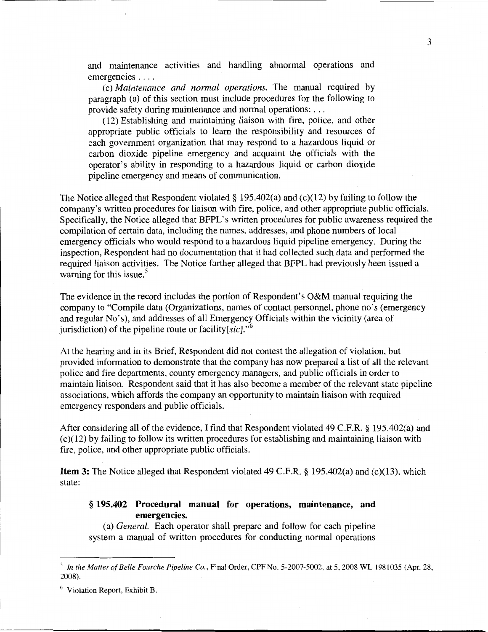and maintenance activities and handling abnormal operations and emergencies ....

(c) *Maintenance and normal operations.* The manual required by paragraph (a) of this section must include procedures for the following to provide safety during maintenance and normal operations: ...

(12) Establishing and maintaining liaison with fire, police, and other appropriate public officials to learn the responsibility and resources of each government organization that may respond to a hazardous liquid or carbon dioxide pipeline emergency and acquaint the officials with the operator's ability in responding to a hazardous liquid or carbon dioxide pipeline emergency and means of communication.

The Notice alleged that Respondent violated§ 195.402(a) and (c)(12) by failing to follow the company's written procedures for liaison with fire, police, and other appropriate public officials. Specifically, the Notice alleged that BFPL's written procedures for public awareness required the compilation of certain data, including the names, addresses, and phone numbers of local emergency officials who would respond to a hazardous liquid pipeline emergency. During the inspection, Respondent had no documentation that it had collected such data and performed the required liaison activities. The Notice further alleged that BFPL had previously been issued a warning for this issue. $5$ 

The evidence in the record includes the portion of Respondent's O&M manual requiring the company to "Compile data (Organizations, names of contact personnel, phone no's (emergency and regular No's), and addresses of all Emergency Officials within the vicinity (area of jurisdiction) of the pipeline route or facility  $sic$ .<sup>6</sup>

At the hearing and in its Brief, Respondent did not contest the allegation of violation, but provided information to demonstrate that the company has now prepared a list of all the relevant police and fire departments, county emergency managers, and public officials in order to maintain liaison. Respondent said that it has also become a member of the relevant state pipeline associations, which affords the company an opportunity to maintain liaison with required emergency responders and public officials.

After considering all of the evidence, I find that Respondent violated 49 C.F.R. § 195.402(a) and (c)(12) by failing to follow its written procedures for establishing and maintaining liaison with fire, police, and other appropriate public officials.

**Item 3:** The Notice alleged that Respondent violated 49 C.F.R. § 195.402(a) and (c)(13), which state:

## § **195.402 Procedural manual for operations, maintenance, and emergencies.**

(a) *General.* Each operator shall prepare and follow for each pipeline system a manual of written procedures for conducting normal operations

3

<sup>5</sup>*In the Matter of Belle Fourche Pipeline Co.,* Final Order, CPF No. 5-2007-5002, at 5, 2008 WL 1981035 (Apr. 28, 2008).

<sup>6</sup> Violation Report, Exhibit B.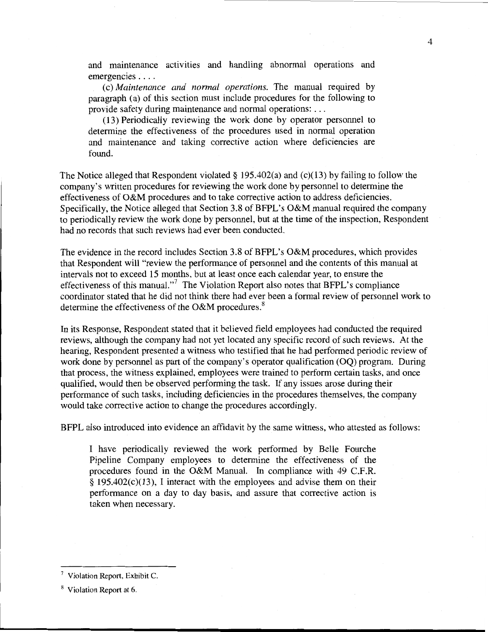and maintenance activities and handling abnormal operations and emergencies ....

(c) *Maintenance and normal operations.* The manual required by paragraph (a) of this section must include procedures for the following to provide safety during maintenance and normal operations: ...

(13) Periodically reviewing the work done by operator personnel to determine the effectiveness of the procedures used in normal operation and maintenance and taking corrective action where deficiencies are found.

The Notice alleged that Respondent violated § 195.402(a) and (c)(13) by failing to follow the company's written procedures for reviewing the work done by personnel to determine the effectiveness of O&M procedures and to take corrective action to address deficiencies. Specifically, the Notice alleged that Section 3.8 of BFPL's O&M manual required the company to periodically review the work done by personnel, but at the time of the inspection, Respondent had no records that such reviews had ever been conducted.

The evidence in the record includes Section 3.8 of BFPL's O&M procedures, which provides that Respondent will "review the performance of personnel and the contents of this manual at intervals not to exceed 15 months, but at least once each calendar year, to ensure the effectiveness of this manual."<sup>7</sup> The Violation Report also notes that BFPL's compliance coordinator stated that he did not think there had ever been a formal review of personnel work to determine the effectiveness of the O&M procedures.<sup>8</sup>

In its Response, Respondent stated that it believed field employees had conducted the required reviews, although the company had not yet located any specific record of such reviews. At the hearing, Respondent presented a witness who testified that he had performed periodic review of work done by personnel as part of the company's operator qualification (OQ) program. During that process, the witness explained, employees were trained to perform certain tasks, and once qualified, would then be observed performing the task. If any issues arose during their performance of such tasks, including deficiencies in the procedures themselves, the company would take corrective action to change the procedures accordingly.

BFPL also introduced into evidence an affidavit by the same witness, who attested as follows:

I have periodically reviewed the work performed by Belle Fourche Pipeline Company employees to determine the effectiveness of the procedures found in the O&M Manual. In compliance with 49 C.P.R. § 195.402(c)(13), I interact with the employees and advise them on their performance on a day to day basis, and assure that corrective action is taken when necessary.

<sup>7</sup> Violation Report, Exhibit C.

<sup>&</sup>lt;sup>8</sup> Violation Report at 6.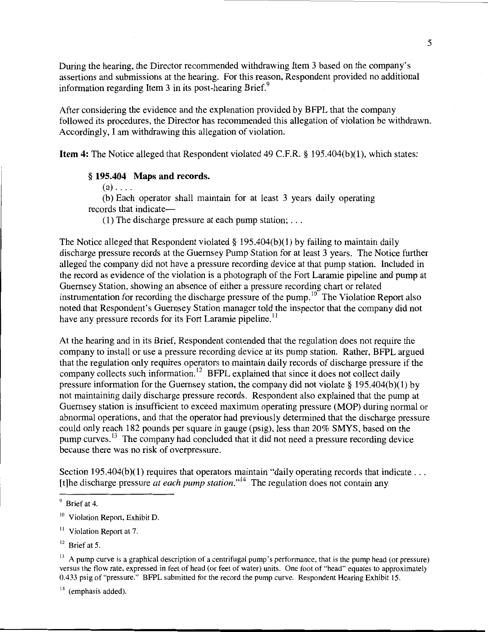During the hearing, the Director recommended withdrawing Item 3 based on the company's assertions and submissions at the hearing. For this reason, Respondent provided no additional information regarding Item 3 in its post-hearing Brief.<sup>9</sup>

After considering the evidence and the explanation provided by BFPL that the company followed its procedures, the Director has recommended this allegation of violation be withdrawn. Accordingly, I am withdrawing this allegation of violation.

**Item 4:** The Notice alleged that Respondent violated 49 C.F.R. § 195.404(b)(l), which states:

#### § **195.404 Maps and records.**

 $(a)$ ....

(b) Each operator shall maintain for at least 3 years daily operating records that indicate—

(1) The discharge pressure at each pump station;  $\dots$ 

The Notice alleged that Respondent violated  $\S$  195.404(b)(1) by failing to maintain daily discharge pressure records at the Guernsey Pump Station for at least 3 years. The Notice further alleged the company did not have a pressure recording device at that pump station. Included in the record as evidence of the violation is a photograph of the Fort Laramie pipeline and pump at Guernsey Station, showing an absence of either a pressure recording chart or related instrumentation for recording the discharge pressure of the pump.  $10^{10}$  The Violation Report also noted that Respondent's Guernsey Station manager told the inspector that the company did not have any pressure records for its Fort Laramie pipeline.<sup>11</sup>

At the hearing and in its Brief, Respondent contended that the regulation does not require the company to install or use a pressure recording device at its pump station. Rather, BFPL argued that the regulation only requires operators to maintain daily records of discharge pressure if the company collects such information.<sup>12</sup> BFPL explained that since it does not collect daily pressure information for the Guernsey station, the company did not violate § 195.404(b)(1) by not maintaining daily discharge pressure records. Respondent also explained that the pump at Guernsey station is insufficient to exceed maximum operating pressure (MOP) during normal or abnormal operations, and that the operator had previously determined that the discharge pressure could only reach 182 pounds per square in gauge (psig), less than 20% SMYS, based on the pump curves.<sup>13</sup> The company had concluded that it did not need a pressure recording device because there was no risk of overpressure.

Section 195.404(b)(1) requires that operators maintain "daily operating records that indicate ... [t]he discharge pressure *at each pump station*."<sup>14</sup> The regulation does not contain any

 $14$  (emphasis added).

 $9$  Brief at 4.

 $10$  Violation Report, Exhibit D.

 $11$  Violation Report at 7.

 $12$  Brief at 5.

 $13$  A pump curve is a graphical description of a centrifugal pump's performance, that is the pump head (or pressure) versus the t1ow rate, expressed in feet of head (or feet of water) units. One foot of "head" equates to approximately 0.433 psig of "pressure." BFPL submitted for the record the pump curve. Respondent Hearing Exhibit 15.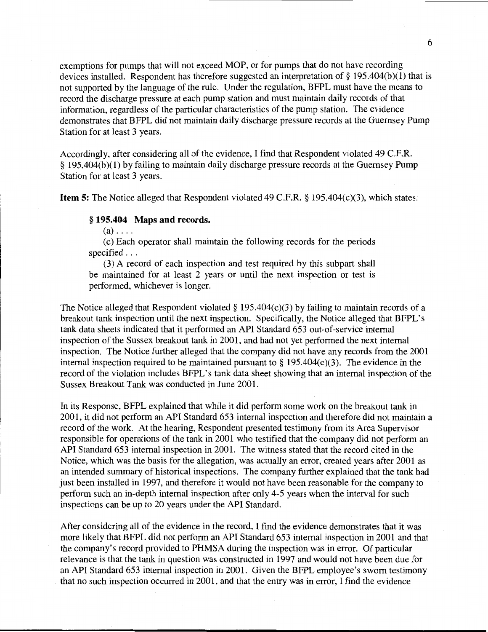exemptions for pumps that will not exceed MOP, or for pumps that do not have recording devices installed. Respondent has therefore suggested an interpretation of§ 195.404(b)(1) that is not supported by the language of the rule. Under the regulation, BFPL must have the means to record the discharge pressure at each pump station and must maintain daily records of that information, regardless of the particular characteristics of the pump station. The evidence demonstrates that BFPL did not maintain daily discharge pressure records at the Guernsey Pump Station for at least 3 years.

Accordingly, after considering all of the evidence, I find that Respondent violated 49 C.F.R. § 195.404(b)(1) by failing to maintain daily discharge pressure records at the Guernsey Pump Station for at least 3 years.

**Item 5:** The Notice alleged that Respondent violated 49 C.F.R. § 195.404(c)(3), which states:

#### § **195.404 Maps and records.**

 $(a) \ldots$ 

(c) Each operator shall maintain the following records for the periods specified ...

(3) A record of each inspection and test required by this subpart shall be maintained for at least 2 years or until the next inspection or test is performed, whichever is longer.

The Notice alleged that Respondent violated  $\S$  195.404(c)(3) by failing to maintain records of a breakout tank inspection until the next inspection. Specifically, the Notice alleged that BFPL's tank data sheets indicated that it performed an API Standard 653 out-of-service internal inspection of the Sussex breakout tank in 2001, and had not yet performed the next internal inspection. The Notice further alleged that the company did not have any records from the 2001 internal inspection required to be maintained pursuant to  $\S 195.404(c)(3)$ . The evidence in the record of the violation includes BFPL's tank data sheet showing that an internal inspection of the Sussex Breakout Tank was conducted in June 2001.

In its Response, BFPL explained that while it did perform some work on the breakout tank in 2001, it did not perform an API Standard 653 internal inspection and therefore did not maintain a record of the work. At the hearing, Respondent presented testimony from its Area Supervisor responsible for operations of the tank in 2001 who testified that the company did not perform an API Standard 653 internal inspection in 2001. The witness stated that the record cited in the Notice, which was the basis for the allegation, was actually an error, created years after 2001 as an intended summary of historical inspections. The company further explained that the tank had just been installed in 1997, and therefore it would not have been reasonable for the company to perform such an in-depth internal inspection after only 4-5 years when the interval for such inspections can be up to 20 years under the API Standard.

After considering all of the evidence in the record, I find the evidence demonstrates that it was more likely that BFPL did not perform an API Standard 653 internal inspection in 2001 and that the company's record provided to PHMSA during the inspection was in error. Of particular relevance is that the tank in question was constructed in 1997 and would not have been due for an API Standard 653 internal inspection in 2001. Given the BFPL employee's sworn testimony that no such inspection occurred in 2001, and that the entry was in error, I find the evidence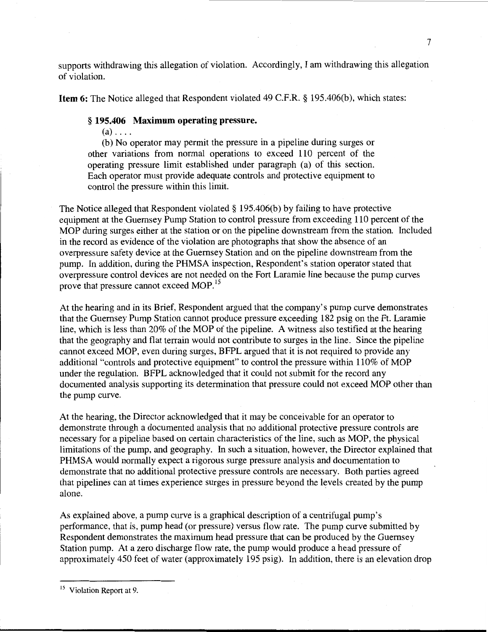supports withdrawing this allegation of violation. Accordingly, I am withdrawing this allegation of violation.

**Item 6:** The Notice alleged that Respondent violated 49 C.F.R. § 195.406(b), which states:

## § **195.406 Maximum operating pressure.**

 $(a) \ldots$ .

(b) No operator may permit the pressure in a pipeline during surges or other variations from normal operations to exceed 110 percent of the operating pressure limit established under paragraph (a) of this section. Each operator must provide adequate controls and protective equipment to control the pressure within this limit.

The Notice alleged that Respondent violated§ 195.406(b) by failing to have protective equipment at the Guernsey Pump Station to control pressure from exceeding 110 percent of the MOP during surges either at the station or on the pipeline downstream from the station. Included in the record as evidence of the violation are photographs that show the absence of an overpressure safety device at the Guernsey Station and on the pipeline downstream from the pump. In addition, during the PHMSA inspection, Respondent's station operator stated that overpressure control devices are not needed on the Fort Laramie line because the pump curves prove that pressure cannot exceed MOP.<sup>15</sup>

At the hearing and in its Brief, Respondent argued that the company's pump curve demonstrates that the Guernsey Pump Station cannot produce pressure exceeding 182 psig on the Ft. Laramie line, which is less than 20% of the MOP of the pipeline. A witness also testified at the hearing that the geography and flat terrain would not contribute to surges in the line. Since the pipeline cannot exceed MOP, even during surges, BFPL argued that it is not required to provide any additional "controls and protective equipment" to control the pressure within 110% of MOP under the regulation. BFPL acknowledged that it could not submit for the record any documented analysis supporting its determination that pressure could not exceed MOP other than the pump curve.

At the hearing, the Director acknowledged that it may be conceivable for an operator to demonstrate through a documented analysis that no additional protective pressure controls are necessary for a pipeline based on certain characteristics of the line, such as MOP, the physical limitations of the pump, and geography. In such a situation, however, the Director explained that PHMSA would normally expect a rigorous surge pressure analysis and documentation to demonstrate that no additional protective pressure controls are necessary. Both parties agreed that pipelines can at times experience surges in pressure beyond the levels created by the pump alone.

As explained above, a pump curve is a graphical description of a centrifugal pump's performance, that is, pump head (or pressure) versus flow rate. The pump curve submitted by Respondent demonstrates the maximum head pressure that can be produced by the Guernsey Station pump. At a zero discharge flow rate, the pump would produce a head pressure of approximately 450 feet of water (approximately 195 psig). In addition, there is an elevation drop

<sup>&</sup>lt;sup>15</sup> Violation Report at 9.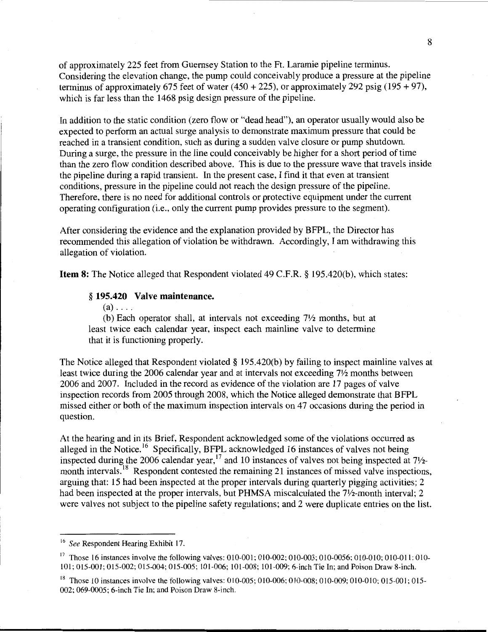of approximately 225 feet from Guernsey Station to the Ft. Laramie pipeline terminus. Considering the elevation change, the pump could conceivably produce a pressure at the pipeline terminus of approximately 675 feet of water (450 + 225), or approximately 292 psig (195 + 97), which is far less than the 1468 psig design pressure of the pipeline.

In addition to the static condition (zero flow or "dead head"), an operator usually would also be expected to perform an actual surge analysis to demonstrate maximum pressure that could be reached in a transient condition, such as during a sudden valve closure or pump shutdown. During a surge, the pressure in the line could conceivably be higher for a short period of time than the zero flow condition described above. This is due to the pressure wave that travels inside the pipeline during a rapid transient. In the present case, I find it that even at transient conditions, pressure in the pipeline could not reach the design pressure of the pipeline. Therefore, there is no need for additional controls or protective equipment under the current operating configuration (i.e., only the current pump provides pressure to the segment).

After considering the evidence and the explanation provided by BFPL, the Director has recommended this allegation of violation be withdrawn. Accordingly, I am withdrawing this allegation of violation.

**Item 8:** The Notice alleged that Respondent violated 49 C.F.R. § 195.420(b), which states:

#### § **195.420 Valve maintenance.**

 $(a)$ ....

(b) Each operator shall, at intervals not exceeding  $7\frac{1}{2}$  months, but at least twice each calendar year, inspect each mainline valve to determine that it is functioning properly.

The Notice alleged that Respondent violated § 195.420(b) by failing to inspect mainline valves at least twice during the 2006 calendar year and at intervals not exceeding  $7\frac{1}{2}$  months between 2006 and 2007. Included in the record as evidence of the violation are 17 pages of valve inspection records from 2005 through 2008, which the Notice alleged demonstrate that BFPL missed either or both of the maximum inspection intervals on 47 occasions during the period in question.

At the hearing and in its Brief, Respondent acknowledged some of the violations occurred as alleged in the Notice.<sup>16</sup> Specifically, BFPL acknowledged 16 instances of valves not being inspected during the 2006 calendar year,  $17$  and 10 instances of valves not being inspected at  $7\frac{1}{2}$ . month intervals.<sup>18</sup> Respondent contested the remaining 21 instances of missed valve inspections, arguing that: 15 had been inspected at the proper intervals during quarterly pigging activities; 2 had been inspected at the proper intervals, but PHMSA miscalculated the 7<sup>1</sup>/<sub>2</sub>-month interval; 2 were valves not subject to the pipeline safety regulations; and 2 were duplicate entries on the list.

<sup>16</sup>*See* Respondent Hearing Exhibit 17.

<sup>&</sup>lt;sup>17</sup> Those 16 instances involve the following valves: 010-001; 010-002; 010-003; 010-0056; 010-010; 010-011; 010-101; 015-001; 015-002; 015-004; 015-005; 101-006; 101-008; 101-009; 6-inch Tie In; and Poison Draw 8-inch.

<sup>&</sup>lt;sup>18</sup> Those 10 instances involve the following valves: 010-005; 010-006; 010-008; 010-009; 010-010; 015-001; 015-002; 069-0005; 6-inch Tie In; and Poison Draw 8-inch.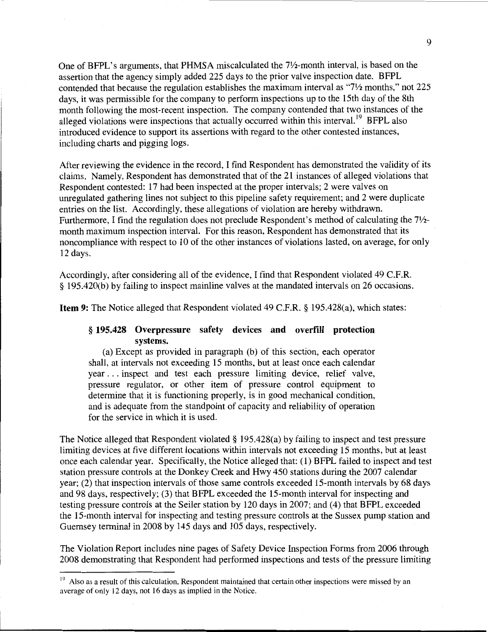One of BFPL's arguments, that PHMSA miscalculated the 7<sup>1</sup>/<sub>2</sub>-month interval, is based on the assertion that the agency simply added 225 days to the prior valve inspection date. BFPL contended that because the regulation establishes the maximum interval as "71/2 months," not 225 days, it was permissible for the company to perform inspections up to the 15th day of the 8th month following the most-recent inspection. The company contended that two instances of the alleged violations were inspections that actually occurred within this interval.<sup>19</sup> BFPL also introduced evidence to support its assertions with regard to the other contested instances, including charts and pigging logs.

After reviewing the evidence in the record, I find Respondent has demonstrated the validity of its claims. Namely, Respondent has demonstrated that of the 21 instances of alleged violations that Respondent contested: 17 had been inspected at the proper intervals; 2 were valves on unregulated gathering lines not subject to this pipeline safety requirement; and 2 were duplicate entries on the list. Accordingly, these allegations of violation are hereby withdrawn. Furthermore, I find the regulation does not preclude Respondent's method of calculating the 7<sup>1</sup>/<sub>2</sub>month maximum inspection interval. For this reason, Respondent has demonstrated that its noncompliance with respect to 10 of the other instances of violations lasted, on average, for only 12 days.

Accordingly, after considering all of the evidence, I find that Respondent violated 49 C.F.R. § 195.420(b) by failing to inspect mainline valves at the mandated intervals on 26 occasions.

Item 9: The Notice alleged that Respondent violated 49 C.F.R. § 195.428(a), which states:

## § 195.428 Overpressure safety devices and overfill protection systems.

(a) Except as provided in paragraph (b) of this section, each operator shall, at intervals not exceeding 15 months, but at least once each calendar year ... inspect and test each pressure limiting device, relief valve, pressure regulator, or other item of pressure control equipment to determine that it is functioning properly, is in good mechanical condition, and is adequate from the standpoint of capacity and reliability of operation for the service in which it is used.

The Notice alleged that Respondent violated § 195.428(a) by failing to inspect and test pressure limiting devices at five different locations within intervals not exceeding 15 months, but at least once each calendar year. Specifically, the Notice alleged that: (1) BFPL failed to inspect and test station pressure controls at the Donkey Creek and Hwy 450 stations during the 2007 calendar year; (2) that inspection intervals of those same controls exceeded 15-month intervals by 68 days and 98 days, respectively; (3) that BFPL exceeded the 15-month interval for inspecting and testing pressure controls at the Seiler station by 120 days in 2007; and (4) that BFPL exceeded the 15-month interval for inspecting and testing pressure controls at the Sussex pump station and Guernsey terminal in 2008 by 145 days and 105 days, respectively.

The Violation Report includes nine pages of Safety Device Inspection Forms from 2006 through 2008 demonstrating that Respondent had performed inspections and tests of the pressure limiting

 $19$  Also as a result of this calculation, Respondent maintained that certain other inspections were missed by an average of only 12 days, not 16 days as implied in the Notice.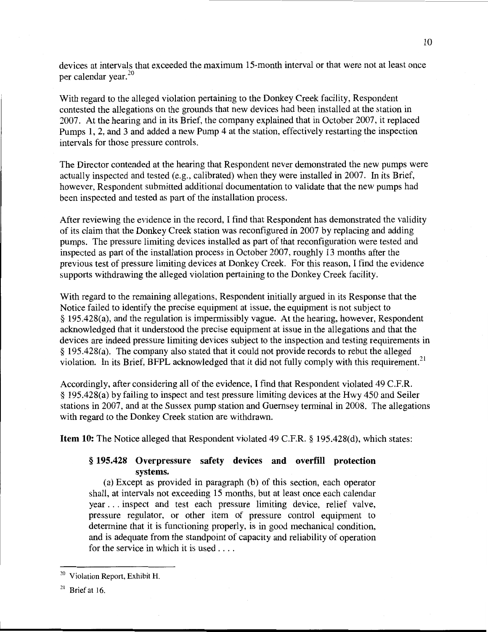devices at intervals that exceeded the maximum 15-month interval or that were not at least once per calendar year. $^{20}$ 

With regard to the alleged violation pertaining to the Donkey Creek facility, Respondent contested the allegations on the grounds that new devices had been installed at the station in 2007. At the hearing and in its Brief, the company explained that in October 2007, it replaced Pumps 1, 2, and 3 and added a new Pump 4 at the station, effectively restarting the inspection intervals for those pressure controls.

The Director contended at the hearing that Respondent never demonstrated the new pumps were actually inspected and tested (e.g., calibrated) when they were installed in 2007. In its Brief, however, Respondent submitted additional documentation to validate that the new pumps had been inspected and tested as part of the installation process.

After reviewing the evidence in the record, I find that Respondent has demonstrated the validity of its claim that the Donkey Creek station was reconfigured in 2007 by replacing and adding pumps. The pressure limiting devices installed as part of that reconfiguration were tested and inspected as part of the installation process in October 2007, roughly 13 months after the previous test of pressure limiting devices at Donkey Creek. For this reason, I find the evidence supports withdrawing the alleged violation pertaining to the Donkey Creek facility.

With regard to the remaining allegations, Respondent initially argued in its Response that the Notice failed to identify the precise equipment at issue, the equipment is not subject to § 195.428(a), and the regulation is impermissibly vague. At the hearing, however, Respondent acknowledged that it understood the precise equipment at issue in the allegations and that the devices are indeed pressure limiting devices subject to the inspection and testing requirements in § 195.428(a). The company also stated that it could not provide records to rebut the alleged violation. In its Brief, BFPL acknowledged that it did not fully comply with this requirement.<sup>21</sup>

Accordingly, after considering all of the evidence, I find that Respondent violated 49 C.P.R. § 195.428(a) by failing to inspect and test pressure limiting devices at the Hwy 450 and Seiler stations in 2007, and at the Sussex pump station and Guernsey terminal in 2008. The allegations with regard to the Donkey Creek station are withdrawn.

Item 10: The Notice alleged that Respondent violated 49 C.P.R.§ 195.428(d), which states:

## § 195.428 Overpressure safety devices and overfill protection systems.

(a) Except as provided in paragraph (b) of this section, each operator shall, at intervals not exceeding 15 months, but at least once each calendar year ... inspect and test each pressure limiting device, relief valve, pressure regulator, or other item of pressure control equipment to determine that it is functioning properly, is in good mechanical condition, and is adequate from the standpoint of capacity and reliability of operation for the service in which it is used ....

<sup>&</sup>lt;sup>20</sup> Violation Report, Exhibit H.

 $21$  Brief at 16.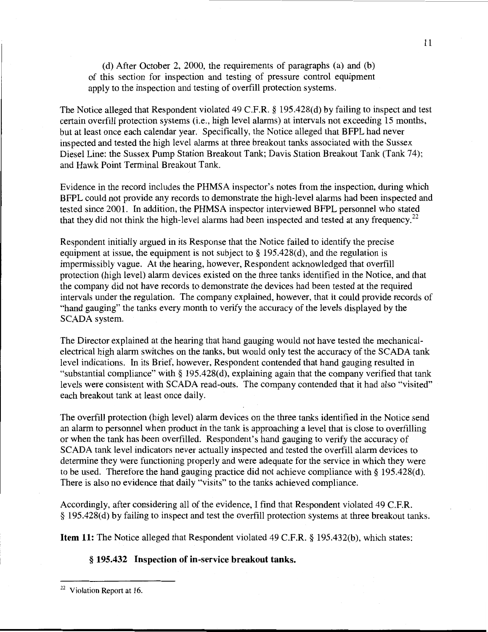(d) After October 2, 2000, the requirements of paragraphs (a) and (b) of this section for inspection and testing of pressure control equipment apply to the inspection and testing of overfill protection systems.

The Notice alleged that Respondent violated 49 C.P.R. § 195.428(d) by failing to inspect and test certain overfill protection systems (i.e., high level alarms) at intervals not exceeding 15 months, but at least once each calendar year. Specifically, the Notice alleged that BFPL had never inspected and tested the high level alarms at three breakout tanks associated with the Sussex Diesel Line: the Sussex Pump Station Breakout Tank; Davis Station Breakout Tank (Tank 74); and Hawk Point Terminal Breakout Tank.

Evidence in the record includes the PHMSA inspector's notes from the inspection, during which BFPL could not provide any records to demonstrate the high-level alarms had been inspected and tested since 2001. In addition, the PHMSA inspector interviewed BFPL personnel who stated that they did not think the high-level alarms had been inspected and tested at any frequency.<sup>22</sup>

Respondent initially argued in its Response that the Notice failed to identify the precise equipment at issue, the equipment is not subject to § 195.428(d), and the regulation is impermissibly vague. At the hearing, however, Respondent acknowledged that overfill protection (high level) alarm devices existed on the three tanks identified in the Notice, and that the company did not have records to demonstrate the devices had been tested at the required intervals under the regulation. The company explained, however, that it could provide records of "hand gauging" the tanks every month to verify the accuracy of the levels displayed by the SCADA system.

The Director explained at the hearing that hand gauging would not have tested the mechanicalelectrical high alarm switches on the tanks, but would only test the accuracy of the SCADA tank level indications. In its Brief, however, Respondent contended that hand gauging resulted in "substantial compliance" with§ 195.428(d), explaining again that the company verified that tank levels were consistent with SCADA read-outs. The company contended that it had also "visited" each breakout tank at least once daily.

The overfill protection (high level) alarm devices on the three tanks identified in the Notice send an alarm to personnel when product in the tank is approaching a level that is close to overfilling or when the tank has been overfilled. Respondent's hand gauging to verify the accuracy of SCADA tank level indicators never actually inspected and tested the overfill alarm devices to determine they were functioning properly and were adequate for the service in which they were to be used. Therefore the hand gauging practice did not achieve compliance with§ 195.428(d). There is also no evidence that daily "visits" to the tanks achieved compliance.

Accordingly, after considering all of the evidence, I find that Respondent violated 49 C.P.R. § 195.428(d) by failing to inspect and test the overfill protection systems at three breakout tanks.

Item 11: The Notice alleged that Respondent violated 49 C.F.R. § 195.432(b), which states:

## § **195.432 Inspection of in-service breakout tanks.**

<sup>&</sup>lt;sup>22</sup> Violation Report at 16.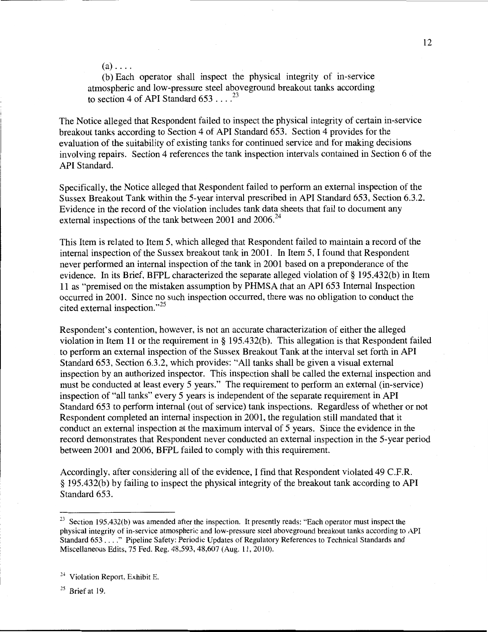$(a)$ ....

(b) Each operator shall inspect the physical integrity of in-service atmospheric and low-pressure steel aboveground breakout tanks according to section 4 of API Standard  $653...^{23}$ 

The Notice alleged that Respondent failed to inspect the physical integrity of certain in-service breakout tanks according to Section 4 of API Standard 653. Section 4 provides for the evaluation of the suitability of existing tanks for continued service and for making decisions involving repairs. Section 4 references the tank inspection intervals contained in Section 6 of the API Standard.

Specifically, the Notice alleged that Respondent failed to perform an external inspection of the Sussex Breakout Tank within the 5-year interval prescribed in API Standard 653, Section 6.3.2. Evidence in the record of the violation includes tank data sheets that fail to document any external inspections of the tank between 2001 and 2006.<sup>24</sup>

This Item is related to Item 5, which alleged that Respondent failed to maintain a record of the internal inspection of the Sussex breakout tank in 2001. In Item 5, I found that Respondent never performed an internal inspection of the tank in 2001 based on a preponderance of the evidence. In its Brief, BFPL characterized the separate alleged violation of§ 195.432(b) in Item 11 as "premised on the mistaken assumption by PHMSA that an API 653 Internal Inspection occurred in 2001. Since no such inspection occurred, there was no obligation to conduct the cited external inspection."<sup>25</sup>

Respondent's contention, however, is not an accurate characterization of either the alleged violation in Item 11 or the requirement in§ 195.432(b). This allegation is that Respondent failed to perform an external inspection of the Sussex Breakout Tank at the interval set forth in API Standard 653, Section 6.3.2, which provides: "All tanks shall be given a visual external inspection by an authorized inspector. This inspection shall be called the external inspection and must be conducted at least every 5 years." The requirement to perform an external (in-service) inspection of "all tanks" every 5 years is independent of the separate requirement in API Standard 653 to perform internal (out of service) tank inspections. Regardless of whether or not Respondent completed an internal inspection in 2001, the regulation still mandated that it conduct an external inspection at the maximum interval of 5 years. Since the evidence in the record demonstrates that Respondent never conducted an external inspection in the 5-year period between 2001 and 2006, BFPL failed to comply with this requirement.

Accordingly, after considering all of the evidence, I find that Respondent violated 49 C.F.R. § 195.432(b) by failing to inspect the physical integrity of the breakout tank according to API Standard 653.

<sup>&</sup>lt;sup>23</sup> Section 195.432(b) was amended after the inspection. It presently reads: "Each operator must inspect the physical integrity of in-service atmospheric and low-pressure steel aboveground breakout tanks according to API Standard 653 .... " Pipeline Safety: Periodic Updates of Regulatory References to Technical Standards and Miscellaneous Edits, 75 Fed. Reg. 48,593, 48,607 (Aug. 11, 2010).

 $24$  Violation Report, Exhibit E.

<sup>&</sup>lt;sup>25</sup> Brief at 19.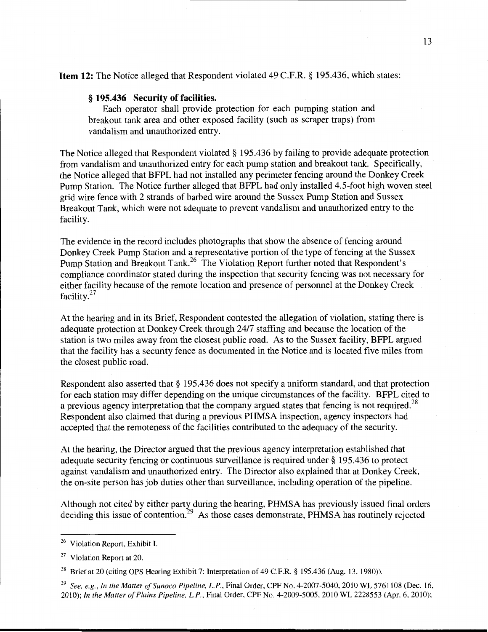## Item **12:** The Notice alleged that Respondent violated 49 C.F.R. § 195.436, which states:

#### § **195.436** Security of facilities.

Each operator shall provide protection for each pumping station and breakout tank area and other exposed facility (such as scraper traps) from vandalism and unauthorized entry.

The Notice alleged that Respondent violated§ 195.436 by failing to provide adequate protection from vandalism and unauthorized entry for each pump station and breakout tank. Specifically, the Notice alleged that BFPL had not installed any perimeter fencing around the Donkey Creek Pump Station. The Notice further alleged that BFPL had only installed 4.5-foot high woven steel grid wire fence with 2 strands of barbed wire around the Sussex Pump Station and Sussex Breakout Tank, which were not adequate to prevent vandalism and unauthorized entry to the facility.

The evidence in the record includes photographs that show the absence of fencing around Donkey Creek Pump Station and a representative portion of the type of fencing at the Sussex Pump Station and Breakout Tank.<sup>26</sup> The Violation Report further noted that Respondent's compliance coordinator stated during the inspection that security fencing was not necessary for either facility because of the remote location and presence of personnel at the Donkey Creek facility. $27$ 

At the hearing and in its Brief, Respondent contested the allegation of violation, stating there is adequate protection at Donkey Creek through 2417 staffing and because the location of the station is two miles away from the closest public road. As to the Sussex facility, BFPL argued that the facility has a security fence as documented in the Notice and is located five miles from the closest public road.

Respondent also asserted that § 195.436 does not specify a uniform standard, and that protection for each station may differ depending on the unique circumstances of the facility. BFPL cited to a previous agency interpretation that the company argued states that fencing is not required.<sup>28</sup> Respondent also claimed that during a previous PHMSA inspection, agency inspectors had accepted that the remoteness of the facilities contributed to the adequacy of the security.

At the hearing, the Director argued that the previous agency interpretation established that adequate security fencing or continuous surveillance is required under§ 195.436 to protect against vandalism and unauthorized entry. The Director also explained that at Donkey Creek, the on-site person has job duties other than surveillance, including operation of the pipeline.

Although not cited by either party during the hearing, PHMSA has previously issued final orders deciding this issue of contention.<sup>29</sup> As those cases demonstrate, PHMSA has routinely rejected

<sup>&</sup>lt;sup>26</sup> Violation Report, Exhibit I.

 $27$  Violation Report at 20.

<sup>&</sup>lt;sup>28</sup> Brief at 20 (citing OPS Hearing Exhibit 7: Interpretation of 49 C.F.R. § 195.436 (Aug. 13, 1980)).

<sup>&</sup>lt;sup>29</sup> See, e.g., In the Matter of Sunoco Pipeline, L.P., Final Order, CPF No. 4-2007-5040, 2010 WL 5761108 (Dec. 16, 2010); *In the Matter of Plains Pipeline, L.P.,* Final Order, CPF No. 4-2009-5005, 2010 WL 2228553 (Apr. 6, 2010);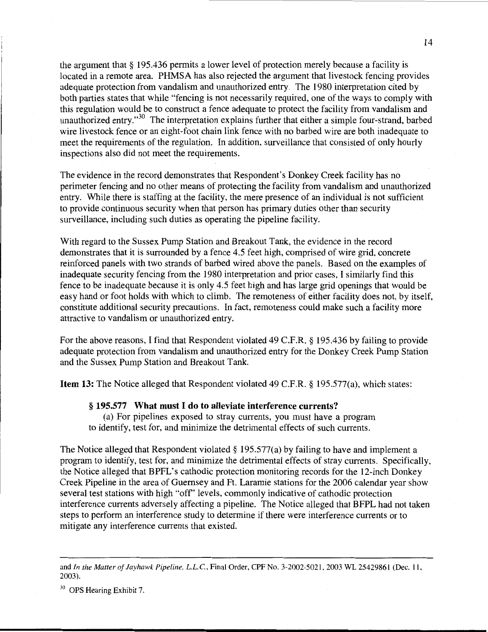the argument that § 195.436 permits a lower level of protection merely because a facility is located in a remote area. PHMSA has also rejected the argument that livestock fencing provides adequate protection from vandalism and unauthorized entry. The 1980 interpretation cited by both parties states that while "fencing is not necessarily required, one of the ways to comply with this regulation would be to construct a fence adequate to protect the facility from vandalism and unauthorized entry."<sup>30</sup> The interpretation explains further that either a simple four-strand, barbed wire livestock fence or an eight-foot chain link fence with no barbed wire are both inadequate to meet the requirements of the regulation. In addition, surveillance that consisted of only hourly inspections also did not meet the requirements.

The evidence in the record demonstrates that Respondent's Donkey Creek facility has no perimeter fencing and no other means of protecting the facility from vandalism and unauthorized entry. While there is staffing at the facility, the mere presence of an individual is not sufficient to provide continuous security when that person has primary duties other than security surveillance, including such duties as operating the pipeline facility.

With regard to the Sussex Pump Station and Breakout Tank, the evidence in the record demonstrates that it is surrounded by a fence 4.5 feet high, comprised of wire grid, concrete reinforced panels with two strands of barbed wired above the panels. Based on the examples of inadequate security fencing from the 1980 interpretation and prior cases, I similarly find this fence to be inadequate because it is only 4.5 feet high and has large grid openings that would be easy hand or foot holds with which to climb. The remoteness of either facility does not, by itself, constitute additional security precautions. In fact, remoteness could make such a facility more attractive to vandalism or unauthorized entry.

For the above reasons, I find that Respondent violated 49 C.F.R. § 195.436 by failing to provide adequate protection from vandalism and unauthorized entry for the Donkey Creek Pump Station and the Sussex Pump Station and Breakout Tank.

**Item 13:** The Notice alleged that Respondent violated 49 C.F.R. § 195.577(a), which states:

#### § **195.577 What must I do to alleviate interference currents?**

(a) For pipelines exposed to stray currents, you must have a program to identify, test for, and minimize the detrimental effects of such currents.

The Notice alleged that Respondent violated § 195.577(a) by failing to have and implement a program to identify, test for, and minimize the detrimental effects of stray currents. Specifically, the Notice alleged that BPFL's cathodic protection monitoring records for the 12-inch Donkey Creek Pipeline in the area of Guernsey and Ft. Laramie stations for the 2006 calendar year show several test stations with high "off' levels, commonly indicative of cathodic protection interference currents adversely affecting a pipeline. The Notice alleged that BFPL had not taken steps to perform an interference study to determine if there were interference currents or to mitigate any interference currents that existed.

and *In the Matter of Jayhawk Pipeline, L.L.C.,* Final Order, CPF No. 3-2002-5021, 2003 WL 25429861 (Dec. 11, 2003).

<sup>&</sup>lt;sup>30</sup> OPS Hearing Exhibit 7.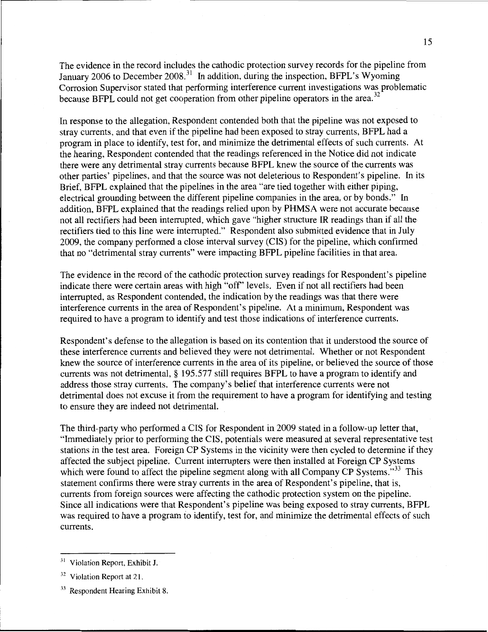The evidence in the record includes the cathodic protection survey records for the pipeline from January 2006 to December 2008.<sup>31</sup> In addition, during the inspection, BFPL's Wyoming Corrosion Supervisor stated that performing interference current investigations was problematic because BFPL could not get cooperation from other pipeline operators in the area.<sup>32</sup>

In response to the allegation, Respondent contended both that the pipeline was not exposed to stray currents, and that even if the pipeline had been exposed to stray currents, BFPL had a program in place to identify, test for, and minimize the detrimental effects of such currents. At the hearing, Respondent contended that the readings referenced in the Notice did not indicate there were any detrimental stray currents because BFPL knew the source of the currents was other parties' pipelines, and that the source was not deleterious to Respondent's pipeline. In its Brief, BFPL explained that the pipelines in the area "are tied together with either piping, electrical grounding between the different pipeline companies in the area, or by bonds." In addition, BFPL explained that the readings relied upon by PHMSA were not accurate because not all rectifiers had been interrupted, which gave "higher structure IR readings than if all the rectifiers tied to this line were interrupted." Respondent also submitted evidence that in July 2009, the company performed a close interval survey (CIS) for the pipeline, which confirmed that no "detrimental stray currents" were impacting BFPL pipeline facilities in that area.

The evidence in the record of the cathodic protection survey readings for Respondent's pipeline indicate there were certain areas with high "off' levels. Even if not all rectifiers had been interrupted, as Respondent contended, the indication by the readings was that there were interference currents in the area of Respondent's pipeline. At a minimum, Respondent was required to have a program to identify and test those indications of interference currents.

Respondent's defense to the allegation is based on its contention that it understood the source of these interference currents and believed they were not detrimental. Whether or not Respondent knew the source of interference currents in the area of its pipeline, or believed the source of those currents was not detrimental, § 195.577 still requires BFPL to have a program to identify and address those stray currents. The company's belief that interference currents were not detrimental does not excuse it from the requirement to have a program for identifying and testing to ensure they are indeed not detrimental.

The third-party who performed a CIS for Respondent in 2009 stated in a follow-up letter that, "Immediately prior to performing the CIS, potentials were measured at several representative test stations in the test area. Foreign CP Systems in the vicinity were then cycled to determine if they affected the subject pipeline. Current interrupters were then installed at Foreign CP Systems which were found to affect the pipeline segment along with all Company CP Systems."<sup>33</sup> This statement confirms there were stray currents in the area of Respondent's pipeline, that is, currents from foreign sources were affecting the cathodic protection system on the pipeline. Since all indications were that Respondent's pipeline was being exposed to stray currents, BFPL was required to have a program to identify, test for, and minimize the detrimental effects of such currents.

<sup>&</sup>lt;sup>31</sup> Violation Report, Exhibit J.

<sup>&</sup>lt;sup>32</sup> Violation Report at 21.

<sup>&</sup>lt;sup>33</sup> Respondent Hearing Exhibit 8.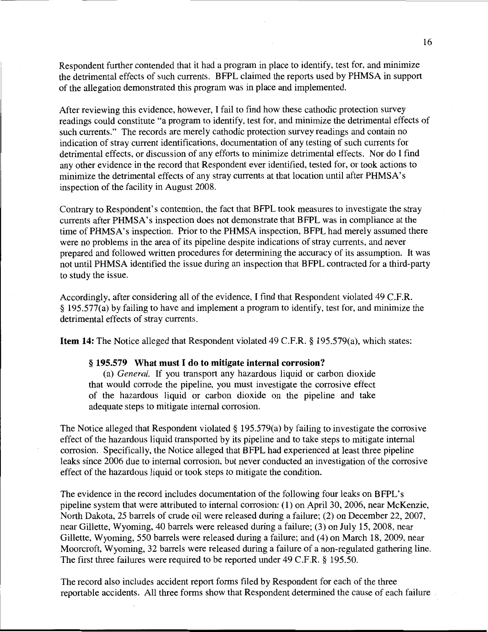Respondent further contended that it had a program in place to identify, test for, and minimize the detrimental effects of such currents. BPPL claimed the reports used by PHMSA in support of the allegation demonstrated this program was in place and implemented.

After reviewing this evidence, however, I fail to find how these cathodic protection survey readings could constitute "a program to identify, test for, and minimize the detrimental effects of such currents." The records are merely cathodic protection survey readings and contain no indication of stray current identifications, documentation of any testing of such currents for detrimental effects, or discussion of any efforts to minimize detrimental effects. Nor do I find any other evidence in the record that Respondent ever identified, tested for, or took actions to minimize the detrimental effects of any stray currents at that location until after PHMSA's inspection of the facility in August 2008.

Contrary to Respondent's contention, the fact that BPPL took measures to investigate the stray currents after PHMSA's inspection does not demonstrate that BFPL was in compliance at the time of PHMSA's inspection. Prior to the PHMSA inspection, BFPL had merely assumed there were no problems in the area of its pipeline despite indications of stray currents, and never prepared and followed written procedures for determining the accuracy of its assumption. It was not until PHMSA identified the issue during an inspection that BFPL contracted for a third-party to study the issue.

Accordingly, after considering all of the evidence, I find that Respondent violated 49 C.P.R. § 195.577(a) by failing to have and implement a program to identify, test for, and minimize the detrimental effects of stray currents.

**Item 14:** The Notice alleged that Respondent violated 49 C.P.R.§ 195.579(a), which states:

#### § **195.579 What must I do to mitigate internal corrosion?**

(a) *General.* If you transport any hazardous liquid or carbon dioxide that would corrode the pipeline, you must investigate the corrosive effect of the hazardous liquid or carbon dioxide on the pipeline and take adequate steps to mitigate internal corrosion.

The Notice alleged that Respondent violated § 195.579(a) by failing to investigate the corrosive effect of the hazardous liquid transported by its pipeline and to take steps to mitigate internal corrosion. Specifically, the Notice alleged that BFPL had experienced at least three pipeline leaks since 2006 due to internal corrosion, but never conducted an investigation of the corrosive effect of the hazardous liquid or took steps to mitigate the condition.

The evidence in the record includes documentation of the following four leaks on BFPL's pipeline system that were attributed to internal corrosion: (1) on April 30, 2006, near McKenzie, North Dakota, 25 barrels of crude oil were released during a failure; (2) on December 22, 2007, near Gillette, Wyoming, 40 barrels were released during a failure; (3) on July 15, 2008, near Gillette, Wyoming, 550 barrels were released during a failure; and (4) on March 18, 2009, near Moorcroft, Wyoming, 32 barrels were released during a failure of a non-regulated gathering line. The first three failures were required to be reported under 49 C.F.R. § 195.50.

The record also includes accident report forms filed by Respondent for each of the three reportable accidents. All three forms show that Respondent determined the cause of each failure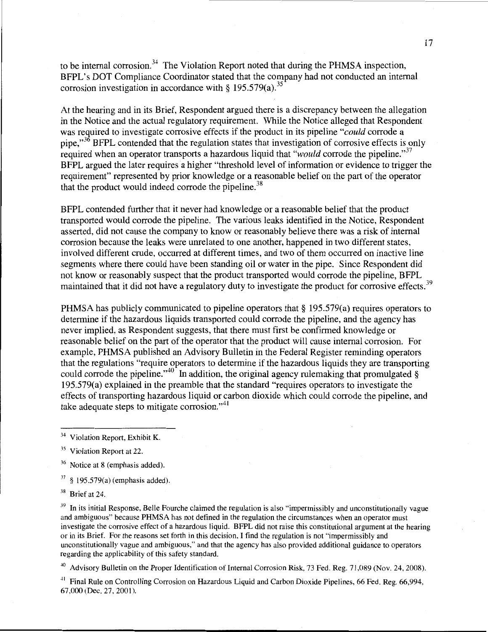to be internal corrosion.<sup>34</sup> The Violation Report noted that during the PHMSA inspection, BFPL's DOT Compliance Coordinator stated that the company had not conducted an internal corrosion investigation in accordance with § 195.579(a).<sup>35</sup>

At the hearing and in its Brief, Respondent argued there is a discrepancy between the allegation in the Notice and the actual regulatory requirement. While the Notice alleged that Respondent was required to investigate corrosive effects if the product in its pipeline "*could* corrode a pipe, $\frac{36}{3}$  BFPL contended that the regulation states that investigation of corrosive effects is only required when an operator transports a hazardous liquid that *"would* corrode the pipeline."<sup>37</sup> BFPL argued the later requires a higher "threshold level of information or evidence to trigger the requirement" represented by prior knowledge or a reasonable belief on the part of the operator that the product would indeed corrode the pipeline.<sup>38</sup>

BFPL contended further that it never had knowledge or a reasonable belief that the product transported would corrode the pipeline. The various leaks identified in the Notice, Respondent asserted, did not cause the company to know or reasonably believe there was a risk of internal corrosion because the leaks were unrelated to one another, happened in two different states, involved different crude, occurred at different times, and two of them occurred on inactive line segments where there could have been standing oil or water in the pipe. Since Respondent did not know or reasonably suspect that the product transported would corrode the pipeline, BFPL maintained that it did not have a regulatory duty to investigate the product for corrosive effects.<sup>39</sup>

PHMSA has publicly communicated to pipeline operators that § 195.579(a) requires operators to determine if the hazardous liquids transported could corrode the pipeline, and the agency has never implied, as Respondent suggests, that there must first be confirmed knowledge or reasonable belief on the part of the operator that the product will cause internal corrosion. For example, PHMSA published an Advisory Bulletin in the Federal Register reminding operators that the regulations "require operators to determine if the hazardous liquids they are transporting could corrode the pipeline." $40^{\circ}$  In addition, the original agency rulemaking that promulgated § 195.579(a) explained in the preamble that the standard "requires operators to investigate the effects of transporting hazardous liquid or carbon dioxide which could corrode the pipeline, and take adequate steps to mitigate corrosion."<sup>41</sup>

<sup>36</sup> Notice at 8 (emphasis added).

 $37\,$ § 195.579(a) (emphasis added).

38 Brief at 24.

 $39$  In its initial Response, Belle Fourche claimed the regulation is also "impermissibly and unconstitutionally vague and ambiguous" because PHMSA has not defined in the regulation the circumstances when an operator must investigate the corrosive effect of a hazardous liquid. BFPL did not raise this constitutional argument at the hearing or in its Brief. For the reasons set forth in this decision, I find the regulation is not "impermissibly and unconstitutionally vague and ambiguous," and that the agency has also provided additional guidance to operators regarding the applicability of this safety standard.

<sup>40</sup> Advisory Bulletin on the Proper Identification of Internal Corrosion Risk, 73 Fed. Reg. 71,089 (Nov. 24, 2008).

<sup>41</sup> Final Rule on Controlling Corrosion on Hazardous Liquid and Carbon Dioxide Pipelines, 66 Fed. Reg. 66,994, 67,000 (Dec. 27, 2001).

Violation Report, Exhibit K.

<sup>&</sup>lt;sup>35</sup> Violation Report at 22.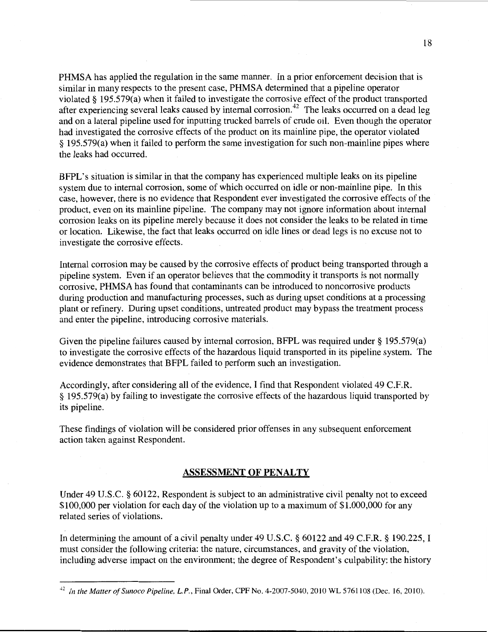PHMSA has applied the regulation in the same manner. In a prior enforcement decision that is similar in many respects to the present case, PHMSA determined that a pipeline operator violated§ 195.579(a) when it failed to investigate the corrosive effect of the product transported after experiencing several leaks caused by internal corrosion.<sup>42</sup> The leaks occurred on a dead leg and on a lateral pipeline used for inputting trucked barrels of crude oil. Even though the operator had investigated the corrosive effects of the product on its mainline pipe, the operator violated § 195.579(a) when it failed to perform the same investigation for such non-mainline pipes where the leaks had occurred.

BFPL's situation is similar in that the company has experienced multiple leaks on its pipeline system due to internal corrosion, some of which occurred on idle or non-mainline pipe. In this case, however, there is no evidence that Respondent ever investigated the corrosive effects of the product, even on its mainline pipeline. The company may not ignore information about internal corrosion leaks on its pipeline merely because it does not consider the leaks to be related in time or location. Likewise, the fact that leaks occurred on idle lines or dead legs is no excuse not to investigate the corrosive effects.

Internal corrosion may be caused by the corrosive effects of product being transported through a pipeline system. Even if an operator believes that the commodity it transports is not normally corrosive, PHMSA has found that contaminants can be introduced to noncorrosive products during production and manufacturing processes, such as during upset conditions at a processing plant or refinery. During upset conditions, untreated product may bypass the treatment process and enter the pipeline, introducing corrosive materials.

Given the pipeline failures caused by internal corrosion, BFPL was required under§ 195.579(a) to investigate the corrosive effects of the hazardous liquid transported in its pipeline system. The evidence demonstrates that BPPL failed to perform such an investigation.

Accordingly, after considering all of the evidence, I find that Respondent violated 49 C.P.R. § 195.579(a) by failing to investigate the corrosive effects of the hazardous liquid transported by its pipeline.

These findings of violation will be considered prior offenses in any subsequent enforcement action taken against Respondent.

#### ASSESSMENT OF PENALTY

Under 49 U.S.C. § 60122, Respondent is subject to an administrative civil penalty not to exceed \$100,000 per violation for each day of the violation up to a maximum of \$1,000,000 for any related series of violations.

In determining the amount of a civil penalty under 49 U.S.C. § 60122 and 49 C.F.R. § 190.225, I must consider the following criteria: the nature, circumstances, and gravity of the violation, including adverse impact on the environment; the degree of Respondent's culpability; the history

<sup>42</sup> *In the Matter of Sunoco Pipeline, L.P.,* Final Order, CPF No. 4-2007-5040,2010 WL 5761108 (Dec. 16, 2010).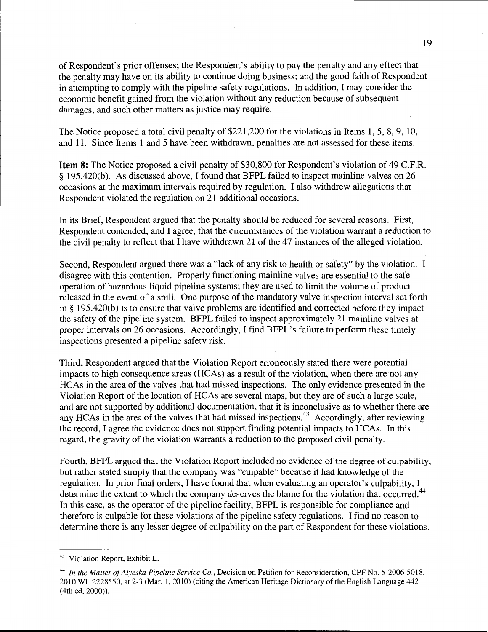of Respondent's prior offenses; the Respondent's ability to pay the penalty and any effect that the penalty may have on its ability to continue doing business; and the good faith of Respondent in attempting to comply with the pipeline safety regulations. In addition, I may consider the economic benefit gained from the violation without any reduction because of subsequent damages, and such other matters as justice may require.

The Notice proposed a total civil penalty of \$221,200 for the violations in Items 1, 5, 8, 9, 10, and 11. Since Items 1 and 5 have been withdrawn, penalties are not assessed for these items.

Item 8: The Notice proposed a civil penalty of \$30,800 for Respondent's violation of 49 C.F.R. § 195.420(b). As discussed above, I found that BFPL failed to inspect mainline valves on 26 occasions at the maximum intervals required by regulation. I also withdrew allegations that Respondent violated the regulation on 21 additional occasions.

In its Brief, Respondent argued that the penalty should be reduced for several reasons. First, Respondent contended, and I agree, that the circumstances of the violation warrant a reduction to the civil penalty to reflect that I have withdrawn 21 of the 47 instances of the alleged violation.

Second, Respondent argued there was a "lack of any risk to health or safety" by the violation. I disagree with this contention. Properly functioning mainline valves are essential to the safe operation of hazardous liquid pipeline systems; they are used to limit the volume of product released in the event of a spill. One purpose of the mandatory valve inspection interval set forth in§ 195.420(b) is to ensure that valve problems are identified and corrected before they impact the safety of the pipeline system. BFPL failed to inspect approximately 21 mainline valves at proper intervals on 26 occasions. Accordingly, I find BFPL's failure to perform these timely inspections presented a pipeline safety risk.

Third, Respondent argued that the Violation Report erroneously stated there were potential impacts to high consequence areas (HCAs) as a result of the violation, when there are not any HCAs in the area of the valves that had missed inspections. The only evidence presented in the Violation Report of the location of HCAs are several maps, but they are of such a large scale, and are not supported by additional documentation, that it is inconclusive as to whether there are any HCAs in the area of the valves that had missed inspections.<sup>43</sup> Accordingly, after reviewing the record, I agree the evidence does not support finding potential impacts to HCAs. In this regard, the gravity of the violation warrants a reduction to the proposed civil penalty.

Fourth, BFPL argued that the Violation Report included no evidence of the degree of culpability, but rather stated simply that the company was "culpable" because it had knowledge of the regulation. In prior final orders, I have found that when evaluating an operator's culpability, I determine the extent to which the company deserves the blame for the violation that occurred.<sup>44</sup> In this case, as the operator of the pipeline facility, BFPL is responsible for compliance and therefore is culpable for these violations of the pipeline safety regulations. I find no reason to determine there is any lesser degree of culpability on the part of Respondent for these violations.

<sup>43</sup> Violation Report, Exhibit L.

<sup>44</sup>*In the Matter of Alyeska Pipeline Service Co.,* Decision on Petition for Reconsideration, CPF No. 5-2006-5018, 2010 WL 2228550, at 2-3 (Mar. 1, 20 10) (citing the American Heritage Dictionary of the English Language 442 (4th ed. 2000)).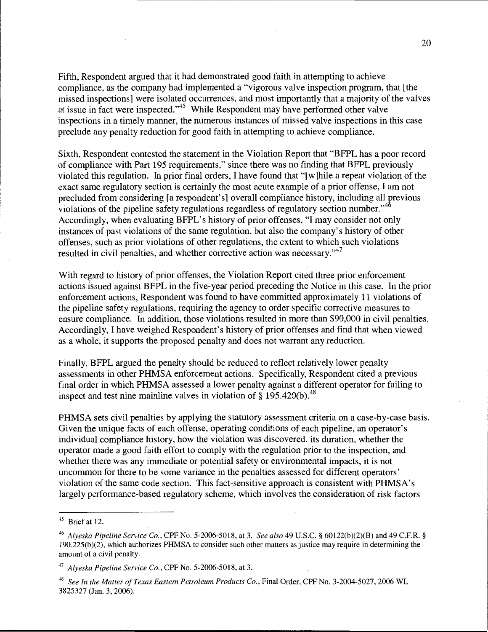Fifth, Respondent argued that it had demonstrated good faith in attempting to achieve compliance, as the company had implemented a "vigorous valve inspection program, that [the missed inspections] were isolated occurrences, and most importantly that a majority of the valves at issue in fact were inspected."<sup>45</sup> While Respondent may have performed other valve inspections in a timely manner, the numerous instances of missed valve inspections in this case preclude any penalty reduction for good faith in attempting to achieve compliance.

Sixth, Respondent contested the statement in the Violation Report that "BFPL has a poor record of compliance with Part 195 requirements," since there was no finding that BFPL previously violated this regulation. In prior final orders, I have found that "[ w ]hile a repeat violation of the exact same regulatory section is certainly the most acute example of a prior offense, I am not precluded from considering [a respondent's] overall compliance history, including all rrevious violations of the pipeline safety regulations regardless of regulatory section number."<sup>46</sup> Accordingly, when evaluating BFPL's history of prior offenses, "I may consider not only instances of past violations of the same regulation, but also the company's history of other offenses, such as prior violations of other regulations, the extent to which such violations resulted in civil penalties, and whether corrective action was necessary."<sup>47</sup>

With regard to history of prior offenses, the Violation Report cited three prior enforcement actions issued against BFPL in the five-year period preceding the Notice in this case. In the prior enforcement actions, Respondent was found to have committed approximately 11 violations of the pipeline safety regulations, requiring the agency to order specific corrective measures to ensure compliance. In addition, those violations resulted in more than \$90,000 in civil penalties. Accordingly, I have weighed Respondent's history of prior offenses and find that when viewed as a whole, it supports the proposed penalty and does not warrant any reduction.

Finally, BFPL argued the penalty should be reduced to reflect relatively lower penalty assessments in other PHMSA enforcement actions. Specifically, Respondent cited a previous final order in which PHMSA assessed a lower penalty against a different operator for failing to inspect and test nine mainline valves in violation of  $\S$  195.420(b).<sup>48</sup>

PHMSA sets civil penalties by applying the statutory assessment criteria on a case-by-case basis. Given the unique facts of each offense, operating conditions of each pipeline, an operator's individual compliance history, how the violation was discovered, its duration, whether the operator made a good faith effort to comply with the regulation prior to the inspection, and whether there was any immediate or potential safety or environmental impacts, it is not uncommon for there to be some variance in the penalties assessed for different operators' violation of the same code section. This fact-sensitive approach is consistent with PHMSA's largely performance-based regulatory scheme, which involves the consideration of risk factors

 $45$  Brief at 12.

<sup>46</sup>*Alyeska Pipeline Service Co.,* CPF No. 5-2006-5018, at 3. *See also* 49 U.S.C. § 60122(b)(2)(B) and 49 C.F.R. § 190.225(b )(2), which authorizes PHMSA to consider such other matters as justice may require in determining the amount of a civil penalty.

<sup>47</sup>*Alyeska Pipeline Service Co.,* CPF No. 5-2006-5018, at 3.

<sup>&</sup>lt;sup>48</sup> See In the Matter of Texas Eastern Petroleum Products Co., Final Order, CPF No. 3-2004-5027, 2006 WL 3825327 (Jan. 3, 2006).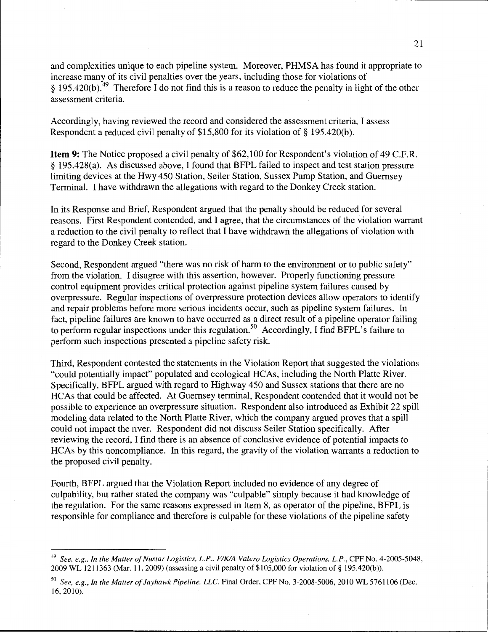and complexities unique to each pipeline system. Moreover, PHMSA has found it appropriate to increase many of its civil penalties over the years, including those for violations of § 195.420(b).<sup>49</sup> Therefore I do not find this is a reason to reduce the penalty in light of the other assessment criteria.

Accordingly, having reviewed the record and considered the assessment criteria, I assess Respondent a reduced civil penalty of \$15,800 for its violation of § 195.420(b).

Item 9: The Notice proposed a civil penalty of \$62,100 for Respondent's violation of 49 C.F.R. § 195.428(a). As discussed above, I found that BFPL failed to inspect and test station pressure limiting devices at the Hwy 450 Station, Seiler Station, Sussex Pump Station, and Guernsey Terminal. I have withdrawn the allegations with regard to the Donkey Creek station.

In its Response and Brief, Respondent argued that the penalty should be reduced for several reasons. First Respondent contended, and I agree, that the circumstances of the violation warrant a reduction to the civil penalty to reflect that I have withdrawn the allegations of violation with regard to the Donkey Creek station.

Second, Respondent argued "there was no risk of harm to the environment or to public safety" from the violation. I disagree with this assertion, however. Properly functioning pressure control equipment provides critical protection against pipeline system failures caused by overpressure. Regular inspections of overpressure protection devices allow operators to identify and repair problems before more serious incidents occur, such as pipeline system failures. In fact, pipeline failures are known to have occurred as a direct result of a pipeline operator failing to perform regular inspections under this regulation.<sup>50</sup> Accordingly, I find BFPL's failure to perform such inspections presented a pipeline safety risk.

Third, Respondent contested the statements in the Violation Report that suggested the violations "could potentially impact" populated and ecological HCAs, including the North Platte River. Specifically, BFPL argued with regard to Highway 450 and Sussex stations that there are no HCAs that could be affected. At Guernsey terminal, Respondent contended that it would not be possible to experience an overpressure situation. Respondent also introduced as Exhibit 22 spill modeling data related to the North Platte River, which the company argued proves that a spill could not impact the river. Respondent did not discuss Seiler Station specifically. After reviewing the record, I find there is an absence of conclusive evidence of potential impacts to HCAs by this noncompliance. In this regard, the gravity of the violation warrants a reduction to the proposed civil penalty.

Fourth, BFPL argued that the Violation Report included no evidence of any degree of culpability, but rather stated the company was "culpable" simply because it had knowledge of the regulation. For the same reasons expressed in Item 8, as operator of the pipeline, BFPL is responsible for compliance and therefore is culpable for these violations of the pipeline safety

<sup>49</sup>*See, e.g., In the Matter of Nustar Logistics, L.P., FIKIA Valero Logistics Operations. L.P.,* CPF No. 4-2005-5048, 2009 WL 1211363 (Mar. 11, 2009) (assessing a civil penalty of \$105,000 for violation of§ 195.420(b)).

<sup>&</sup>lt;sup>50</sup> See, e.g., In the Matter of Jayhawk Pipeline, LLC, Final Order, CPF No. 3-2008-5006, 2010 WL 5761106 (Dec. 16, 2010).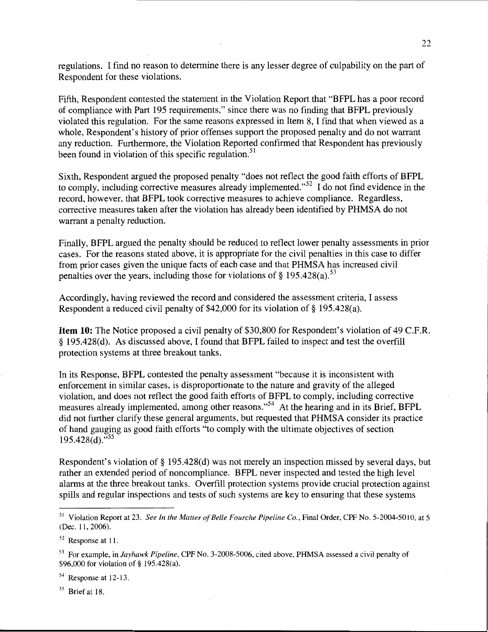regulations. I find no reason to determine there is any lesser degree of culpability on the part of Respondent for these violations.

Fifth, Respondent contested the statement in the Violation Report that "BFPL has a poor record of compliance with Part 195 requirements," since there was no finding that BFPL previously violated this regulation. For the same reasons expressed in Item 8, I find that when viewed as a whole, Respondent's history of prior offenses support the proposed penalty and do not warrant any reduction. Furthermore, the Violation Reported confirmed that Respondent has previously been found in violation of this specific regulation.<sup>51</sup>

Sixth, Respondent argued the proposed penalty "does not reflect the good faith efforts of BFPL to comply, including corrective measures already implemented."<sup>52</sup> I do not find evidence in the record, however, that BFPL took corrective measures to achieve compliance. Regardless, corrective measures taken after the violation has already been identified by PHMSA do not warrant a penalty reduction.

Finally, BFPL argued the penalty should be reduced to reflect lower penalty assessments in prior cases. For the reasons stated above, it is appropriate for the civil penalties in this case to differ from prior cases given the unique facts of each case and that PHMSA has increased civil penalties over the years, including those for violations of § 195.428(a).<sup>53</sup>

Accordingly, having reviewed the record and considered the assessment criteria, I assess Respondent a reduced civil penalty of \$42,000 for its violation of§ 195.428(a).

Item 10: The Notice proposed a civil penalty of \$30,800 for Respondent's violation of 49 C.F.R. § 195.428(d). As discussed above, I found that BFPL failed to inspect and test the overfill protection systems at three breakout tanks.

In its Response, BFPL contested the penalty assessment "because it is inconsistent with enforcement in similar cases, is disproportionate to the nature and gravity of the alleged violation, and does not reflect the good faith efforts of BFPL to comply, including corrective measures already implemented, among other reasons."<sup>54</sup> At the hearing and in its Brief, BFPL did not further clarify these general arguments, but requested that PHMSA consider its practice of hand gauging as good faith efforts "to comply with the ultimate objectives of section  $195.428(d)$ ."<sup>55</sup>

Respondent's violation of § 195.428(d) was not merely an inspection missed by several days, but rather an extended period of noncompliance. BFPL never inspected and tested the high level alarms at the three breakout tanks. Overfill protection systems provide crucial protection against spills and regular inspections and tests of such systems are key to ensuring that these systems

54 Response at 12-13.

 $55$  Brief at 18.

<sup>&</sup>lt;sup>51</sup> Violation Report at 23. *See In the Matter of Belle Fourche Pipeline Co.*, Final Order, CPF No. 5-2004-5010, at 5 (Dec. 11, 2006).

<sup>52</sup> Response at II.

<sup>53</sup> For example, in *Jayhawk Pipeline,* CPF No. 3-2008-5006, cited above, PHMSA assessed a civil penalty of \$96,000 for violation of§ 195.428(a).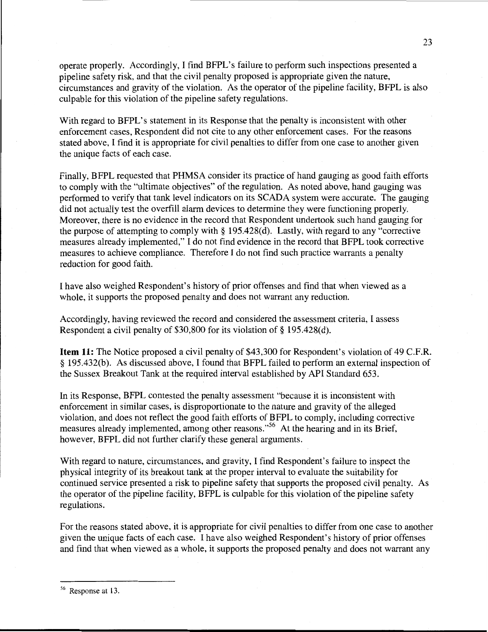operate properly. Accordingly, I find BFPL's failure to perform such inspections presented a pipeline safety risk, and that the civil penalty proposed is appropriate given the nature, circumstances and gravity of the violation. As the operator of the pipeline facility, BFPL is also culpable for this violation of the pipeline safety regulations.

With regard to BFPL's statement in its Response that the penalty is inconsistent with other enforcement cases, Respondent did not cite to any other enforcement cases. For the reasons stated above, I find it is appropriate for civil penalties to differ from one case to another given the unique facts of each case.

Finally, BFPL requested that PHMSA consider its practice of hand gauging as good faith efforts to comply with the "ultimate objectives" of the regulation. As noted above, hand gauging was performed to verify that tank level indicators on its SCADA system were accurate. The gauging did not actually test the overfill alarm devices to determine they were functioning properly. Moreover, there is no evidence in the record that Respondent undertook such hand gauging for the purpose of attempting to comply with  $\S 195.428(d)$ . Lastly, with regard to any "corrective measures already implemented," I do not find evidence in the record that BFPL took corrective measures to achieve compliance. Therefore I do not find such practice warrants a penalty reduction for good faith.

I have also weighed Respondent's history of prior offenses and find that when viewed as a whole, it supports the proposed penalty and does not warrant any reduction.

Accordingly, having reviewed the record and considered the assessment criteria, I assess Respondent a civil penalty of \$30,800 for its violation of§ 195.428(d).

Item 11: The Notice proposed a civil penalty of \$43,300 for Respondent's violation of 49 C.P.R. § 195.432(b). As discussed above, I found that BFPL failed to perform an external inspection of the Sussex Breakout Tank at the required interval established by API Standard 653.

In its Response, BFPL contested the penalty assessment "because it is inconsistent with enforcement in similar cases, is disproportionate to the nature and gravity of the alleged violation, and does not reflect the good faith efforts of BFPL to comply, including corrective measures already implemented, among other reasons."<sup>56</sup> At the hearing and in its Brief, however, BFPL did not further clarify these general arguments.

With regard to nature, circumstances, and gravity, I find Respondent's failure to inspect the physical integrity of its breakout tank at the proper interval to evaluate the suitability for continued service presented a risk to pipeline safety that supports the proposed civil penalty. As the operator of the pipeline facility, BFPL is culpable for this violation of the pipeline safety regulations.

For the reasons stated above, it is appropriate for civil penalties to differ from one case to another given the unique facts of each case. I have also weighed Respondent's history of prior offenses and find that when viewed as a whole, it supports the proposed penalty and does not warrant any

<sup>56</sup> Response at 13.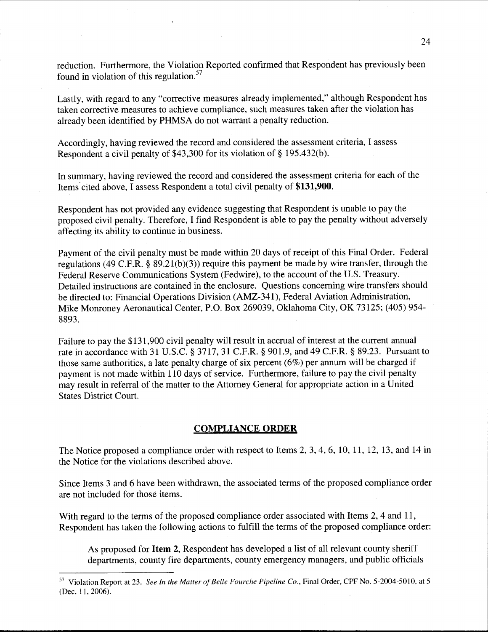reduction. Furthermore, the Violation Reported confirmed that Respondent has previously been found in violation of this regulation. $57$ 

Lastly, with regard to any "corrective measures already implemented," although Respondent has taken corrective measures to achieve compliance, such measures taken after the violation has already been identified by PHMSA do not warrant a penalty reduction.

Accordingly, having reviewed the record and considered the assessment criteria, I assess Respondent a civil penalty of \$43,300 for its violation of§ 195.432(b).

In summary, having reviewed the record and considered the assessment criteria for each of the Items.cited above, I assess Respondent a total civil penalty of **\$131,900.** 

Respondent has not provided any evidence suggesting that Respondent is unable to pay the proposed civil penalty. Therefore, I find Respondent is able to pay the penalty without adversely affecting its ability to continue in business.

Payment of the civil penalty must be made within 20 days of receipt of this Final Order. Federal regulations (49 C.P.R.§ 89.21(b)(3)) require this payment be made by wire transfer, through the Federal Reserve Communications System (Fedwire), to the account of the U.S. Treasury. Detailed instructions are contained in the enclosure. Questions concerning wire transfers should be directed to: Financial Operations Division (AMZ-341), Federal Aviation Administration, Mike Monroney Aeronautical Center, P.O. Box 269039, Oklahoma City, OK 73125; (405) 954- 8893.

Failure to pay the \$131,900 civil penalty will result in accrual of interest at the current annual rate in accordance with 31 U.S.C. § 3717, 31 C.P.R. § 901.9, and 49 C.P.R.§ 89.23. Pursuant to those same authorities, a late penalty charge of six percent (6%) per annum will be charged if payment is not made within 110 days of service. Furthermore, failure to pay the civil penalty may result in referral of the matter to the Attorney General for appropriate action in a United States District Court.

#### **COMPLIANCE ORDER**

The Notice proposed a compliance order with respect to Items 2, 3, 4, 6, 10, 11, 12, 13, and 14 in the Notice for the violations described above.

Since Items 3 and 6 have been withdrawn, the associated terms of the proposed compliance order are not included for those items.

With regard to the terms of the proposed compliance order associated with Items 2, 4 and 11, Respondent has taken the following actions to fulfill the terms of the proposed compliance order:

As proposed for **Item 2,** Respondent has developed a list of all relevant county sheriff departments, county fire departments, county emergency managers, and public officials

<sup>&</sup>lt;sup>57</sup> Violation Report at 23. *See In the Matter of Belle Fourche Pipeline Co.*, Final Order, CPF No. 5-2004-5010, at 5 (Dec. 11, 2006).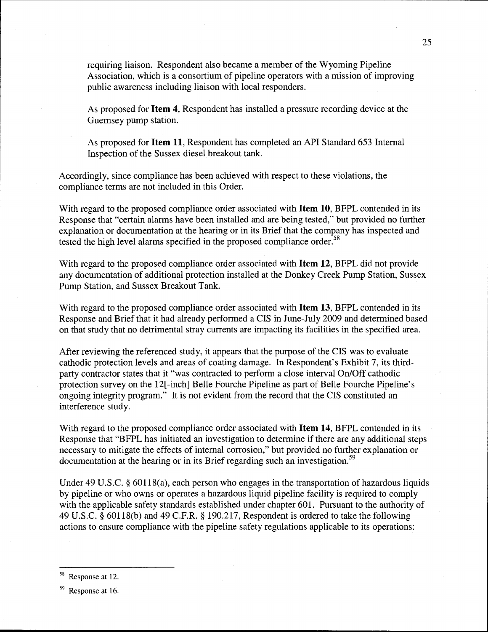requiring liaison. Respondent also became a member of the Wyoming Pipeline Association, which is a consortium of pipeline operators with a mission of improving public awareness including liaison with local responders.

As proposed for Item 4, Respondent has installed a pressure recording device at the Guernsey pump station.

As proposed for Item 11, Respondent has completed an API Standard 653 Internal Inspection of the Sussex diesel breakout tank.

Accordingly, since compliance has been achieved with respect to these violations, the compliance terms are not included in this Order.

With regard to the proposed compliance order associated with **Item 10**, BFPL contended in its Response that "certain alarms have been installed and are being tested," but provided no further explanation or documentation at the hearing or in its Brief that the company has inspected and tested the high level alarms specified in the proposed compliance order.<sup>58</sup>

With regard to the proposed compliance order associated with Item 12, BFPL did not provide any documentation of additional protection installed at the Donkey Creek Pump Station, Sussex Pump Station, and Sussex Breakout Tank.

With regard to the proposed compliance order associated with **Item 13**, BFPL contended in its Response and Brief that it had already performed a CIS in June-July 2009 and determined based on that study that no detrimental stray currents are impacting its facilities in the specified area.

After reviewing the referenced study, it appears that the purpose of the CIS was to evaluate cathodic protection levels and areas of coating damage. In Respondent's Exhibit 7, its thirdparty contractor states that it "was contracted to perform a close interval On/Off cathodic protection survey on the 12[ -inch] Belle Fourche Pipeline as part of Belle Fourche Pipeline's ongoing integrity program." It is not evident from the record that the CIS constituted an interference study.

With regard to the proposed compliance order associated with Item 14, BFPL contended in its Response that "BFPL has initiated an investigation to determine if there are any additional steps necessary to mitigate the effects of internal corrosion," but provided no further explanation or documentation at the hearing or in its Brief regarding such an investigation.<sup>59</sup>

Under 49 U.S.C. § 60118(a), each person who engages in the transportation of hazardous liquids by pipeline or who owns or operates a hazardous liquid pipeline facility is required to comply with the applicable safety standards established under chapter 601. Pursuant to the authority of 49 U.S.C. § 60118(b) and 49 C.F.R. § 190.217, Respondent is ordered to take the following actions to ensure compliance with the pipeline safety regulations applicable to its operations:

<sup>58</sup> Response at 12.

<sup>&</sup>lt;sup>59</sup> Response at 16.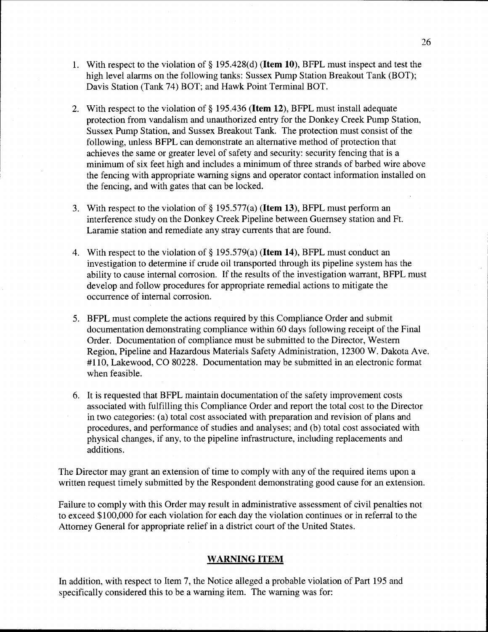- 1. With respect to the violation of§ 195.428(d) (Item 10), BFPL must inspect and test the high level alarms on the following tanks: Sussex Pump Station Breakout Tank (BOT); Davis Station (Tank 74) BOT; and Hawk Point Terminal BOT.
- 2. With respect to the violation of§ 195.436 (Item 12), BFPL must install adequate protection from vandalism and unauthorized entry for the Donkey Creek Pump Station, Sussex Pump Station, and Sussex Breakout Tank. The protection must consist of the following, unless BFPL can demonstrate an alternative method of protection that achieves the same or greater level of safety and security: security fencing that is a minimum of six feet high and includes a minimum of three strands of barbed wire above the fencing with appropriate warning signs and operator contact information installed on the fencing, and with gates that can be locked.
- 3. With respect to the violation of  $\S$  195.577(a) (**Item 13**), BFPL must perform an interference study on the Donkey Creek Pipeline between Guernsey station and Ft. Laramie station and remediate any stray currents that are found.
- 4. With respect to the violation of§ 195.579(a) (Item 14), BFPL must conduct an investigation to determine if crude oil transported through its pipeline system has the ability to cause internal corrosion. If the results of the investigation warrant, BFPL must develop and follow procedures for appropriate remedial actions to mitigate the occurrence of internal corrosion.
- 5. BFPL must complete the actions required by this Compliance Order and submit documentation demonstrating compliance within 60 days following receipt of the Final Order. Documentation of compliance must be submitted to the Director, Western Region, Pipeline and Hazardous Materials Safety Administration, 12300 W. Dakota Ave. #110, Lakewood, CO 80228. Documentation may be submitted in an electronic format when feasible.
- 6. It is requested that BFPL maintain documentation of the safety improvement costs associated with fulfilling this Compliance Order and report the total cost to the Director in two categories: (a) total cost associated with preparation and revision of plans and procedures, and performance of studies and analyses; and (b) total cost associated with physical changes, if any, to the pipeline infrastructure, including replacements and additions.

The Director may grant an extension of time to comply with any of the required items upon a written request timely submitted by the Respondent demonstrating good cause for an extension.

Failure to comply with this Order may result in administrative assessment of civil penalties not to exceed \$100,000 for each violation for each day the violation continues or in referral to the Attorney General for appropriate relief in a district court of the United States.

#### WARNING ITEM

In addition, with respect to Item 7, the Notice alleged a probable violation of Part 195 and specifically considered this to be a warning item. The warning was for: